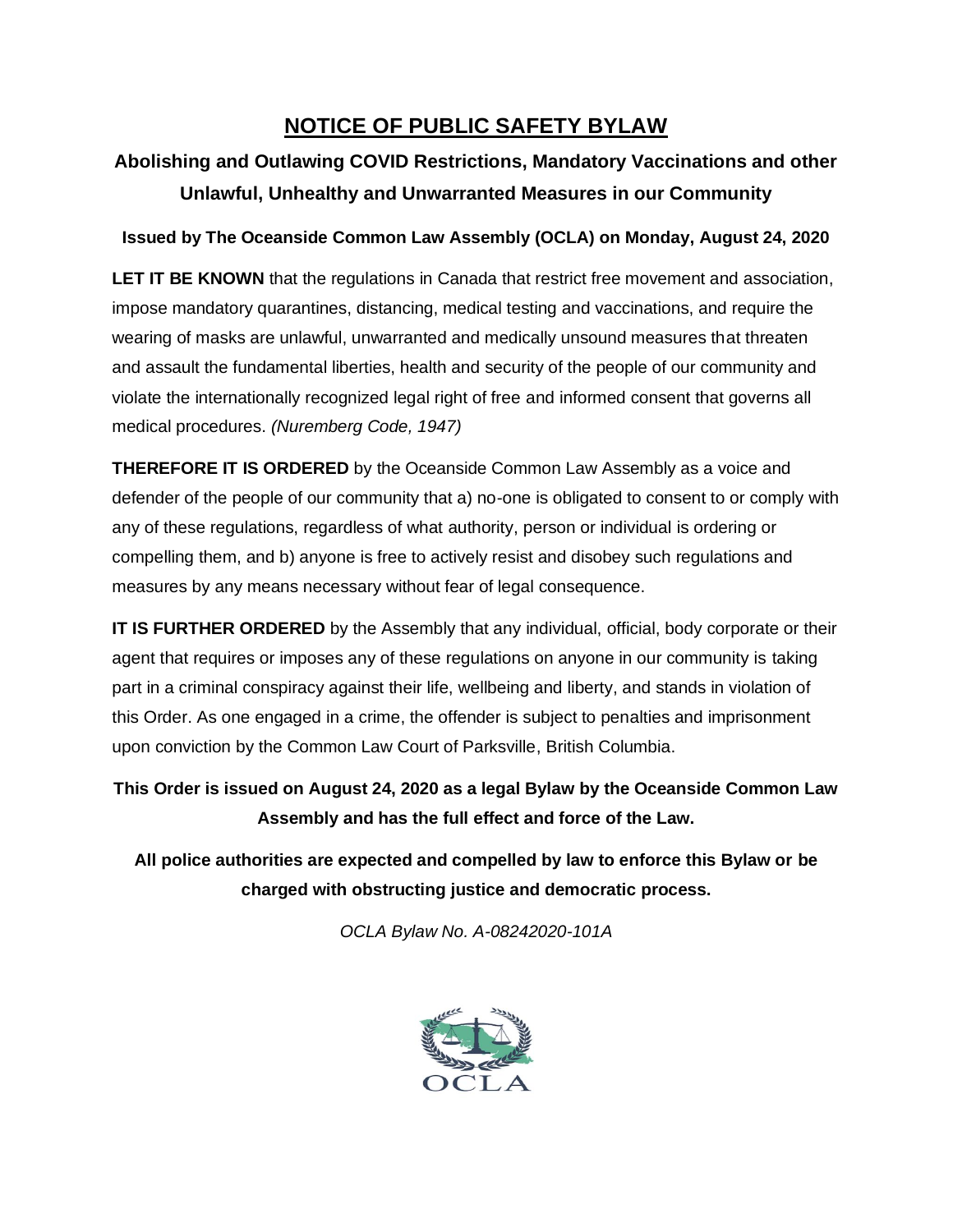## **NOTICE OF PUBLIC SAFETY BYLAW**

## **Abolishing and Outlawing COVID Restrictions, Mandatory Vaccinations and other Unlawful, Unhealthy and Unwarranted Measures in our Community**

## **Issued by The Oceanside Common Law Assembly (OCLA) on Monday, August 24, 2020**

**LET IT BE KNOWN** that the regulations in Canada that restrict free movement and association, impose mandatory quarantines, distancing, medical testing and vaccinations, and require the wearing of masks are unlawful, unwarranted and medically unsound measures that threaten and assault the fundamental liberties, health and security of the people of our community and violate the internationally recognized legal right of free and informed consent that governs all medical procedures. *(Nuremberg Code, 1947)*

**THEREFORE IT IS ORDERED** by the Oceanside Common Law Assembly as a voice and defender of the people of our community that a) no-one is obligated to consent to or comply with any of these regulations, regardless of what authority, person or individual is ordering or compelling them, and b) anyone is free to actively resist and disobey such regulations and measures by any means necessary without fear of legal consequence.

**IT IS FURTHER ORDERED** by the Assembly that any individual, official, body corporate or their agent that requires or imposes any of these regulations on anyone in our community is taking part in a criminal conspiracy against their life, wellbeing and liberty, and stands in violation of this Order. As one engaged in a crime, the offender is subject to penalties and imprisonment upon conviction by the Common Law Court of Parksville, British Columbia.

**This Order is issued on August 24, 2020 as a legal Bylaw by the Oceanside Common Law Assembly and has the full effect and force of the Law.** 

**All police authorities are expected and compelled by law to enforce this Bylaw or be charged with obstructing justice and democratic process.**

*OCLA Bylaw No. A-08242020-101A*